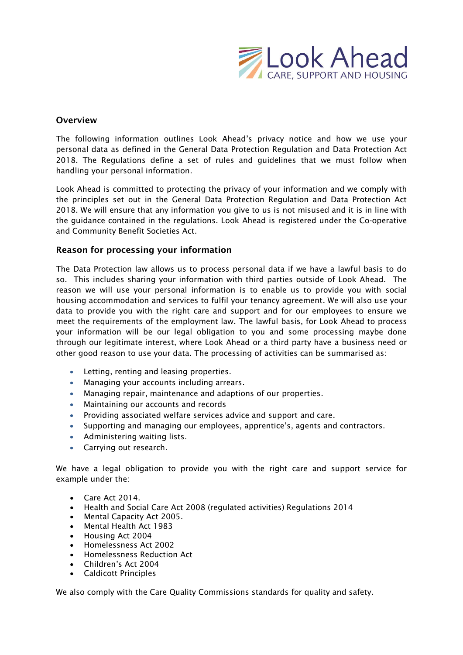

## **Overview**

The following information outlines Look Ahead's privacy notice and how we use your personal data as defined in the General Data Protection Regulation and Data Protection Act 2018. The Regulations define a set of rules and guidelines that we must follow when handling your personal information.

Look Ahead is committed to protecting the privacy of your information and we comply with the principles set out in the General Data Protection Regulation and Data Protection Act 2018. We will ensure that any information you give to us is not misused and it is in line with the guidance contained in the regulations. Look Ahead is registered under the Co-operative and Community Benefit Societies Act.

## **Reason for processing your information**

The Data Protection law allows us to process personal data if we have a lawful basis to do so. This includes sharing your information with third parties outside of Look Ahead. The reason we will use your personal information is to enable us to provide you with social housing accommodation and services to fulfil your tenancy agreement. We will also use your data to provide you with the right care and support and for our employees to ensure we meet the requirements of the employment law. The lawful basis, for Look Ahead to process your information will be our legal obligation to you and some processing maybe done through our legitimate interest, where Look Ahead or a third party have a business need or other good reason to use your data. The processing of activities can be summarised as:

- Letting, renting and leasing properties.
- Managing your accounts including arrears.
- Managing repair, maintenance and adaptions of our properties.
- Maintaining our accounts and records
- Providing associated welfare services advice and support and care.
- Supporting and managing our employees, apprentice's, agents and contractors.
- Administering waiting lists.
- Carrying out research.

We have a legal obligation to provide you with the right care and support service for example under the:

- Care Act 2014.
- Health and Social Care Act 2008 (regulated activities) Regulations 2014
- Mental Capacity Act 2005.
- Mental Health Act 1983
- Housing Act 2004
- Homelessness Act 2002
- Homelessness Reduction Act
- Children's Act 2004
- Caldicott Principles

We also comply with the Care Quality Commissions standards for quality and safety.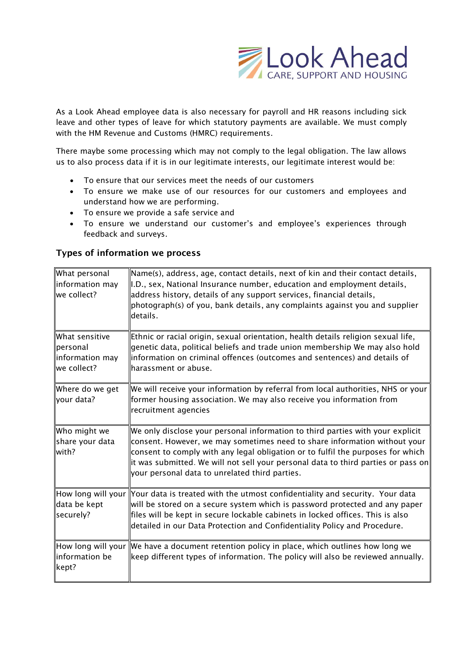

As a Look Ahead employee data is also necessary for payroll and HR reasons including sick leave and other types of leave for which statutory payments are available. We must comply with the HM Revenue and Customs (HMRC) requirements.

There maybe some processing which may not comply to the legal obligation. The law allows us to also process data if it is in our legitimate interests, our legitimate interest would be:

- To ensure that our services meet the needs of our customers
- To ensure we make use of our resources for our customers and employees and understand how we are performing.
- To ensure we provide a safe service and
- To ensure we understand our customer's and employee's experiences through feedback and surveys.

# **Types of information we process**

| What personal<br>information may<br>we collect?               | Name(s), address, age, contact details, next of kin and their contact details,<br>I.D., sex, National Insurance number, education and employment details,<br>address history, details of any support services, financial details,<br>photograph(s) of you, bank details, any complaints against you and supplier<br>details.                                                          |
|---------------------------------------------------------------|---------------------------------------------------------------------------------------------------------------------------------------------------------------------------------------------------------------------------------------------------------------------------------------------------------------------------------------------------------------------------------------|
| What sensitive<br>lpersonal<br>information may<br>we collect? | Ethnic or racial origin, sexual orientation, health details religion sexual life,<br>genetic data, political beliefs and trade union membership We may also hold<br>information on criminal offences (outcomes and sentences) and details of<br>harassment or abuse.                                                                                                                  |
| Where do we get<br>your data?                                 | We will receive your information by referral from local authorities, NHS or your<br>former housing association. We may also receive you information from<br>recruitment agencies                                                                                                                                                                                                      |
| Who might we<br>share your data<br>with?                      | We only disclose your personal information to third parties with your explicit<br>consent. However, we may sometimes need to share information without your<br>consent to comply with any legal obligation or to fulfil the purposes for which<br>it was submitted. We will not sell your personal data to third parties or pass on<br>your personal data to unrelated third parties. |
| data be kept<br>securely?                                     | $\parallel$ How long will your $\parallel$ Your data is treated with the utmost confidentiality and security. Your data<br>will be stored on a secure system which is password protected and any paper<br>files will be kept in secure lockable cabinets in locked offices. This is also<br>detailed in our Data Protection and Confidentiality Policy and Procedure.                 |
| information be<br>kept?                                       | $\parallel$ How long will your $\parallel$ We have a document retention policy in place, which outlines how long we<br>keep different types of information. The policy will also be reviewed annually.                                                                                                                                                                                |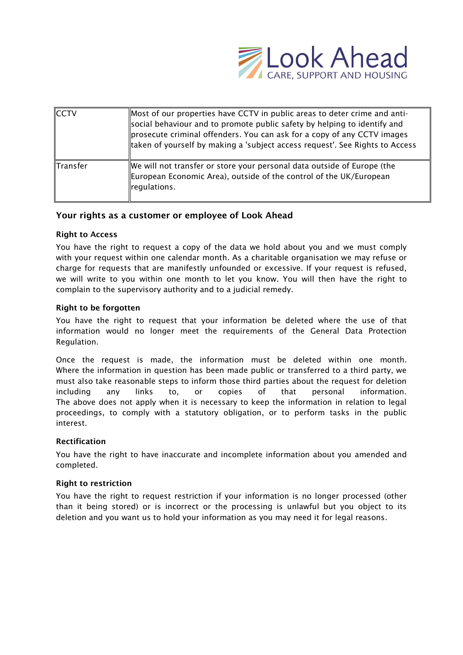

| <b>ICCTV</b>    | Most of our properties have CCTV in public areas to deter crime and anti-<br>social behaviour and to promote public safety by helping to identify and<br>prosecute criminal offenders. You can ask for a copy of any CCTV images<br>taken of yourself by making a 'subject access request'. See Rights to Access |
|-----------------|------------------------------------------------------------------------------------------------------------------------------------------------------------------------------------------------------------------------------------------------------------------------------------------------------------------|
| <b>Transfer</b> | We will not transfer or store your personal data outside of Europe (the<br>European Economic Area), outside of the control of the UK/European<br>regulations.                                                                                                                                                    |

## **Your rights as a customer or employee of Look Ahead**

### **Right to Access**

You have the right to request a copy of the data we hold about you and we must comply with your request within one calendar month. As a charitable organisation we may refuse or charge for requests that are manifestly unfounded or excessive. If your request is refused, we will write to you within one month to let you know. You will then have the right to complain to the supervisory authority and to a judicial remedy.

#### **Right to be forgotten**

You have the right to request that your information be deleted where the use of that information would no longer meet the requirements of the General Data Protection Regulation.

Once the request is made, the information must be deleted within one month. Where the information in question has been made public or transferred to a third party, we must also take reasonable steps to inform those third parties about the request for deletion including any links to, or copies of that personal information. The above does not apply when it is necessary to keep the information in relation to legal proceedings, to comply with a statutory obligation, or to perform tasks in the public interest.

#### **Rectification**

You have the right to have inaccurate and incomplete information about you amended and completed.

#### **Right to restriction**

You have the right to request restriction if your information is no longer processed (other than it being stored) or is incorrect or the processing is unlawful but you object to its deletion and you want us to hold your information as you may need it for legal reasons.